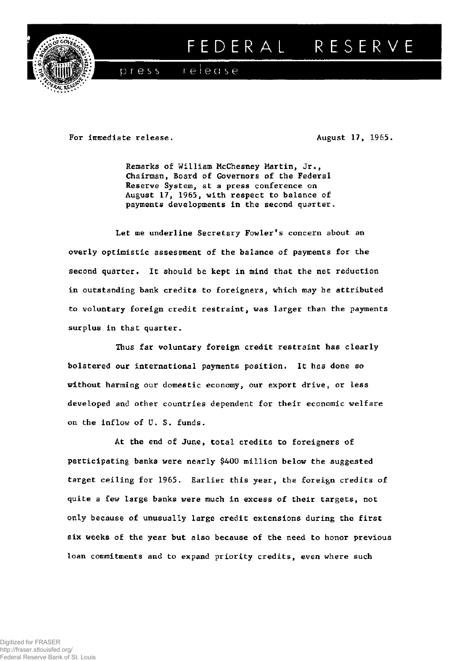

## FEDERAL RESERVE

release  $p$  ress

For immediate release. **August 17, 1965. August 17, 1965.** 

**Remarks of William McChesney Martin, Jr., Chairman, Board of Governors of the Federal Reserve System, at a press conference on August 17, 1965, with respect to balance of payments developments in the second quarter.** 

**Let me underline Secretary Fowler's concern about an overly optimistic assessment of the balance of payments for the second quarter. It should be kept in mind that the net reduction in outstanding bank credits to foreigners, which may be attributed to voluntary foreign credit restraint, was larger than the payments surplus in that quarter.** 

**Thus far voluntary foreign credit restraint has clearly bolstered our international payments position. It has done so without harming our domestic economy, our export drive, or less developed and other countries dependent for their economic welfare on the inflow of U. S. funds.** 

**At the end of June, total credits to foreigners of participating banks were nearly \$400 million below the suggested target ceiling for 1965. Earlier this year, the foreign credits of quite a few large banks were much in excess of their targets, not only because of unusually large credit extensions during the first six weeks of the year but also because of the need to honor previous loan commitments and to expand priority credits, even where such**